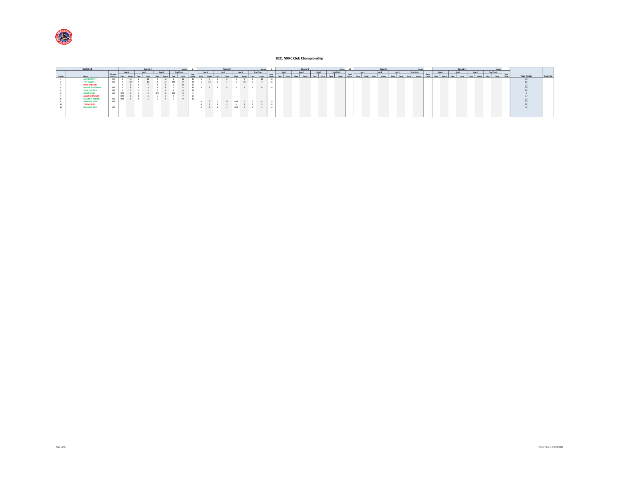

|       | Cadet 12              |        |           |        | Round <sub>1</sub> |        | <b>Contries</b> |       |                     |        | Round, |  | <b>Cattles</b>     |       |        | Round 3 |        | Denies 10   |       |        | Round 4 |        | Entries      |              |        | Round 5 |        |              | <b>Cotrier</b> |       |                     |           |
|-------|-----------------------|--------|-----------|--------|--------------------|--------|-----------------|-------|---------------------|--------|--------|--|--------------------|-------|--------|---------|--------|-------------|-------|--------|---------|--------|--------------|--------------|--------|---------|--------|--------------|----------------|-------|---------------------|-----------|
|       |                       |        |           | Heat 1 | Heat 2             | Heat 3 | Final Finish    |       |                     | Heat 2 |        |  | Final Finish       |       | Heat 1 | Heat 2  | Heat 3 | Roal Finish |       | Heat 1 | Heat 2  | Heat 3 | Final Finish |              | Heat 1 | Heat 2  | Heat 2 | Final Finish |                |       |                     |           |
| Posts | <b>Name</b>           | Member | from Rd 1 |        |                    |        |                 | Tatal |                     |        |        |  |                    | Total |        |         |        |             | Total |        |         |        |              | <b>Total</b> |        |         |        |              |                | Total | <b>Total Points</b> | Qualified |
|       | <b>JACK BARTLETT</b>  |        | YES       |        |                    |        |                 |       |                     |        |        |  | $10^{-1}$          |       |        |         |        |             |       |        |         |        |              |              |        |         |        |              |                |       |                     |           |
|       | <b>TAIT OWENS</b>     |        | YES       |        |                    |        |                 |       |                     |        |        |  |                    |       |        |         |        |             |       |        |         |        |              |              |        |         |        |              |                |       |                     |           |
|       | <b>RYAN DEBORRE</b>   |        |           |        |                    |        |                 |       |                     |        |        |  |                    |       |        |         |        |             |       |        |         |        |              |              |        |         |        |              |                |       |                     |           |
|       | AMELIA ALEXANDER      |        |           |        |                    |        |                 |       |                     |        |        |  | 5 5 4 6 3 7 4 6 24 |       |        |         |        |             |       |        |         |        |              |              |        |         |        |              |                |       |                     |           |
|       | <b>CRUZ CLEEVELY</b>  |        |           |        |                    |        |                 |       |                     |        |        |  |                    |       |        |         |        |             |       |        |         |        |              |              |        |         |        |              |                |       |                     |           |
|       | <b>OSCAR SINGH</b>    |        |           |        |                    |        |                 |       |                     |        |        |  |                    |       |        |         |        |             |       |        |         |        |              |              |        |         |        |              |                |       |                     |           |
|       | <b>JAMES KERAUNOS</b> |        |           | DNF    |                    |        |                 |       |                     |        |        |  |                    |       |        |         |        |             |       |        |         |        |              |              |        |         |        |              |                |       |                     |           |
|       | <b>MAXIMUS ROLLAN</b> |        | YES       |        |                    |        |                 |       |                     |        |        |  |                    |       |        |         |        |             |       |        |         |        |              |              |        |         |        |              |                |       |                     |           |
|       | ANTHONY SAAD          |        | YES       |        |                    |        |                 |       | $3 \quad 7 \quad 1$ |        | 10 DNF |  |                    |       |        |         |        |             |       |        |         |        |              |              |        |         |        |              |                |       |                     |           |
|       | <b>TOMMY RIZK</b>     |        |           |        |                    |        |                 |       |                     |        |        |  |                    |       |        |         |        |             |       |        |         |        |              |              |        |         |        |              |                |       |                     |           |
|       | <b>NICHOLAS REID</b>  |        | YES.      |        |                    |        |                 |       |                     |        |        |  | 6 4 6 4 DNF 0 6 4  |       |        |         |        |             |       |        |         |        |              |              |        |         |        |              |                |       |                     |           |
|       |                       |        |           |        |                    |        |                 |       |                     |        |        |  |                    |       |        |         |        |             |       |        |         |        |              |              |        |         |        |              |                |       |                     |           |
|       |                       |        |           |        |                    |        |                 |       |                     |        |        |  |                    |       |        |         |        |             |       |        |         |        |              |              |        |         |        |              |                |       |                     |           |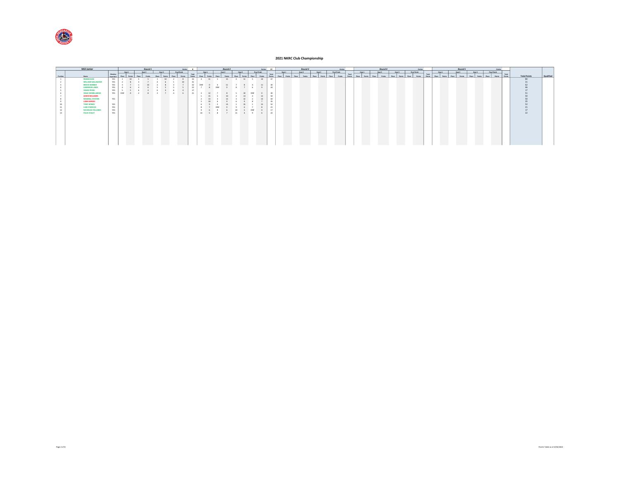

|          | KA3 Junior              |                           |        | Round 1 |        |              | Entries 6 |       |        | Round 2           |             |              | Entries 11 |       |        | Round 3 |        | <b>Georges</b>     |       |        | Round 4 |        |              | Entries       |       |        |       | Round 5 |        |              | <b>Entries</b> |       |                     |           |
|----------|-------------------------|---------------------------|--------|---------|--------|--------------|-----------|-------|--------|-------------------|-------------|--------------|------------|-------|--------|---------|--------|--------------------|-------|--------|---------|--------|--------------|---------------|-------|--------|-------|---------|--------|--------------|----------------|-------|---------------------|-----------|
|          |                         |                           | Heat 1 | Heat 2  | Heat 3 | Final Finish |           |       | Heat 1 | Heat 2            | Heat 2      | Final Finish |            |       | Heat 1 | Heat 2  | Heat 3 | <b>Real Finish</b> |       | Heat 1 | Heat 2  | Heat 3 | Final Finish |               |       | Heat 1 |       | Heat 2  | Heat 3 | Final Finish |                |       |                     |           |
| Position | Name                    | Member<br>from Rd 1 Place |        |         |        |              |           | Total |        |                   |             |              | Points     | Total |        | Points  | Place  |                    | Total |        |         |        | <b>Diary</b> | <b>Delate</b> | Total |        | Place | Points  |        | Place        | Points Points  | Total | <b>Total Points</b> | Qualified |
|          | <b>RUBAN DAN</b>        | YES                       |        |         |        |              |           | 33    | 11     | 15                | $4$ 11 5 10 |              |            | 47    |        |         |        |                    |       |        |         |        |              |               |       |        |       |         |        |              |                |       |                     |           |
|          | WILLIAM GALLAGHER       | YES.                      |        |         |        |              |           |       |        |                   |             |              |            |       |        |         |        |                    |       |        |         |        |              |               |       |        |       |         |        |              |                |       |                     |           |
|          | <b>BROCK BARBER</b>     | YES                       |        |         |        |              |           | DNE   |        |                   |             |              | 11         |       |        |         |        |                    |       |        |         |        |              |               |       |        |       |         |        |              |                |       |                     |           |
|          | <b>CAMERON LAWS</b>     | YES                       |        |         |        |              |           |       |        |                   |             |              |            | 24    |        |         |        |                    |       |        |         |        |              |               |       |        |       |         |        |              |                |       |                     |           |
|          | <b>ISAIAH RYAN</b>      | YES                       |        |         |        |              |           |       |        |                   |             |              |            |       |        |         |        |                    |       |        |         |        |              |               |       |        |       |         |        |              |                |       |                     |           |
|          | <b>ISAAC DEMELLWEEK</b> | YES ONE                   |        |         |        |              |           |       |        |                   |             |              |            |       |        |         |        |                    |       |        |         |        |              |               |       |        |       |         |        |              |                |       |                     |           |
|          | <b>AIDEN WILLIAMS</b>   |                           |        |         |        |              |           |       |        |                   |             |              |            |       |        |         |        |                    |       |        |         |        |              |               |       |        |       |         |        |              |                |       |                     |           |
|          | <b>MASHALL ATAYAN</b>   | YES                       |        |         |        |              |           |       |        |                   |             |              |            |       |        |         |        |                    |       |        |         |        |              |               |       |        |       |         |        |              |                |       |                     |           |
|          | <b>LIAM GERGES</b>      |                           |        |         |        |              |           |       |        |                   |             |              |            |       |        |         |        |                    |       |        |         |        |              |               |       |        |       |         |        |              |                |       |                     |           |
|          | <b>TOBY SPINKS</b>      | YES                       |        |         |        |              |           |       |        |                   |             |              |            |       |        |         |        |                    |       |        |         |        |              |               |       |        |       |         |        |              |                |       |                     |           |
|          | LUKE PUDDICK            | YES                       |        |         |        |              |           |       |        |                   |             |              |            |       |        |         |        |                    |       |        |         |        |              |               |       |        |       |         |        |              |                |       |                     |           |
| 12       | <b>NICHOLAS FOLLOWS</b> | YES                       |        |         |        |              |           |       |        |                   |             |              |            | 17    |        |         |        |                    |       |        |         |        |              |               |       |        |       |         |        |              |                |       | 17                  |           |
|          | <b>FELIX STALEY</b>     | YES                       |        |         |        |              |           |       |        | 10 5 8 7 11 4 9 6 |             |              |            | 22    |        |         |        |                    |       |        |         |        |              |               |       |        |       |         |        |              |                |       | 22                  |           |
|          |                         |                           |        |         |        |              |           |       |        |                   |             |              |            |       |        |         |        |                    |       |        |         |        |              |               |       |        |       |         |        |              |                |       |                     |           |
|          |                         |                           |        |         |        |              |           |       |        |                   |             |              |            |       |        |         |        |                    |       |        |         |        |              |               |       |        |       |         |        |              |                |       |                     |           |
|          |                         |                           |        |         |        |              |           |       |        |                   |             |              |            |       |        |         |        |                    |       |        |         |        |              |               |       |        |       |         |        |              |                |       |                     |           |
|          |                         |                           |        |         |        |              |           |       |        |                   |             |              |            |       |        |         |        |                    |       |        |         |        |              |               |       |        |       |         |        |              |                |       |                     |           |
|          |                         |                           |        |         |        |              |           |       |        |                   |             |              |            |       |        |         |        |                    |       |        |         |        |              |               |       |        |       |         |        |              |                |       |                     |           |
|          |                         |                           |        |         |        |              |           |       |        |                   |             |              |            |       |        |         |        |                    |       |        |         |        |              |               |       |        |       |         |        |              |                |       |                     |           |
|          |                         |                           |        |         |        |              |           |       |        |                   |             |              |            |       |        |         |        |                    |       |        |         |        |              |               |       |        |       |         |        |              |                |       |                     |           |
|          |                         |                           |        |         |        |              |           |       |        |                   |             |              |            |       |        |         |        |                    |       |        |         |        |              |               |       |        |       |         |        |              |                |       |                     |           |
|          |                         |                           |        |         |        |              |           |       |        |                   |             |              |            |       |        |         |        |                    |       |        |         |        |              |               |       |        |       |         |        |              |                |       |                     |           |
|          |                         |                           |        |         |        |              |           |       |        |                   |             |              |            |       |        |         |        |                    |       |        |         |        |              |               |       |        |       |         |        |              |                |       |                     |           |
|          |                         |                           |        |         |        |              |           |       |        |                   |             |              |            |       |        |         |        |                    |       |        |         |        |              |               |       |        |       |         |        |              |                |       |                     |           |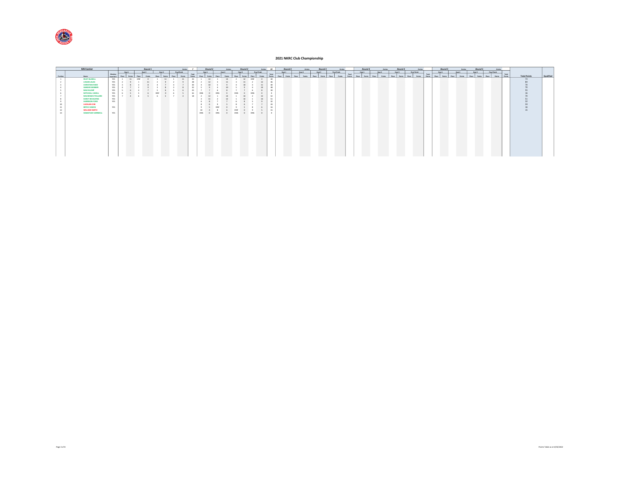

|          | KA4 Junior                   |                           |                |              | Round 1 |                     |               |              | Entries        |                 | Round 2         |        |       |              | Round <sub>2</sub> |              | Entries       |                        |              | Round 3       |        |                |              | Round 3        |       | Entries            |                        |       | Round 4 |       |        |       | Round 4 |       | Entries      |                        |        | Round 5 |        |        |        | Round 5 |              | <b>Entries</b> |       |                     |           |  |
|----------|------------------------------|---------------------------|----------------|--------------|---------|---------------------|---------------|--------------|----------------|-----------------|-----------------|--------|-------|--------------|--------------------|--------------|---------------|------------------------|--------------|---------------|--------|----------------|--------------|----------------|-------|--------------------|------------------------|-------|---------|-------|--------|-------|---------|-------|--------------|------------------------|--------|---------|--------|--------|--------|---------|--------------|----------------|-------|---------------------|-----------|--|
|          |                              |                           | Heat 1         |              | Heat 2  |                     | Heat 3        | Final Finish |                |                 | Heat 1          | Heat 2 |       |              | Heat 2             | Final Finish |               |                        |              | Heat 1        | Heat 2 |                |              | Heat 3         |       | <b>Real Finish</b> |                        |       | Heat 1  |       | Heat 2 |       | Heat 3  |       | Final Finish |                        | Heat 1 |         | Heat 2 |        | Heat 3 |         | Final Finish |                |       |                     |           |  |
| Position |                              | Member<br>from Rd 1 Place | Dollar I       | <b>Disco</b> |         | <b>Robins Marg.</b> | <b>Galant</b> | Phra I       | <b>Dollars</b> | Total<br>Points | <b>Dollarly</b> |        |       | <b>Diara</b> | Points             | <b>Stare</b> | <b>Dollar</b> | Total<br><b>Dollar</b> | <b>Disne</b> | <b>Delaye</b> | Place  | <b>Dollars</b> | <b>Olara</b> | <b>Dollars</b> | Place | Points             | Total<br><b>Gelene</b> | disco | Points  | Place | Points | Place | Points  | Place | Points       | Total<br><b>Delate</b> | Place  | Points  | Place  | Points | Place  | Points  | Place        | Points Points  | Total | <b>Total Points</b> | Qualified |  |
|          | Name<br><b>RILEY BLAXELL</b> | YES                       | 11             | DNF          |         |                     | 11            |              | 11             | 33              | 14              |        |       |              | <b>12</b>          | DNF          |               | 40                     |              |               |        |                |              |                |       |                    |                        |       |         |       |        |       |         |       |              |                        |        |         |        |        |        |         |              |                |       | 73                  |           |  |
|          | <b>LOGAN LALAS</b>           | YES                       |                |              |         |                     |               |              |                |                 |                 |        |       |              |                    |              |               |                        |              |               |        |                |              |                |       |                    |                        |       |         |       |        |       |         |       |              |                        |        |         |        |        |        |         |              |                |       |                     |           |  |
|          | <b>CHRISTIAN FARO</b>        | YES                       |                |              |         |                     |               |              |                |                 |                 |        |       |              |                    |              |               |                        |              |               |        |                |              |                |       |                    |                        |       |         |       |        |       |         |       |              |                        |        |         |        |        |        |         |              |                |       |                     |           |  |
|          | <b>XANDER WEBBER</b>         | YES                       |                |              |         |                     |               |              |                |                 |                 |        |       |              |                    |              |               |                        |              |               |        |                |              |                |       |                    |                        |       |         |       |        |       |         |       |              |                        |        |         |        |        |        |         |              |                |       |                     |           |  |
|          | <b>MAX KLUMP</b>             | YES                       |                |              |         |                     |               |              |                |                 |                 |        |       |              |                    |              |               |                        |              |               |        |                |              |                |       |                    |                        |       |         |       |        |       |         |       |              |                        |        |         |        |        |        |         |              |                |       |                     |           |  |
|          | MITCHELL CADELL              | YES                       |                |              |         |                     |               |              |                |                 |                 |        |       |              |                    |              |               |                        |              |               |        |                |              |                |       |                    |                        |       |         |       |        |       |         |       |              |                        |        |         |        |        |        |         |              |                |       |                     |           |  |
|          | <b>MACKENZIE POLLARD</b>     | YES                       | $\blacksquare$ |              |         |                     | $6 - 5$       |              | $\Delta$       | 18              |                 |        |       |              |                    |              |               |                        |              |               |        |                |              |                |       |                    |                        |       |         |       |        |       |         |       |              |                        |        |         |        |        |        |         |              |                |       |                     |           |  |
|          | <b>DARCY BOULDING</b>        | YES                       |                |              |         |                     |               |              |                |                 |                 |        |       |              |                    |              |               | 51                     |              |               |        |                |              |                |       |                    |                        |       |         |       |        |       |         |       |              |                        |        |         |        |        |        |         |              |                |       |                     |           |  |
|          | <b>HARRISON FORD</b>         | YES                       |                |              |         |                     |               |              |                |                 |                 |        |       |              |                    |              |               | 22                     |              |               |        |                |              |                |       |                    |                        |       |         |       |        |       |         |       |              |                        |        |         |        |        |        |         |              |                |       |                     |           |  |
|          | <b>LACHLAN CINE</b>          |                           |                |              |         |                     |               |              |                |                 |                 |        |       |              |                    |              |               |                        |              |               |        |                |              |                |       |                    |                        |       |         |       |        |       |         |       |              |                        |        |         |        |        |        |         |              |                |       |                     |           |  |
|          | <b>BRYCE DAWES</b>           | YES                       |                |              |         |                     |               |              |                |                 |                 |        |       |              |                    |              |               |                        |              |               |        |                |              |                |       |                    |                        |       |         |       |        |       |         |       |              |                        |        |         |        |        |        |         |              |                |       |                     |           |  |
|          | <b>WILLIAM SMITH</b>         |                           |                |              |         |                     |               |              |                |                 |                 |        |       | OM           |                    |              |               |                        |              |               |        |                |              |                |       |                    |                        |       |         |       |        |       |         |       |              |                        |        |         |        |        |        |         |              |                |       |                     |           |  |
|          | SEBASTIAN VARNDELL           | <b>VEC</b>                |                |              |         |                     |               |              |                |                 | DNS 0 DNS       |        | 0 DNS |              | 0 DNS              |              |               |                        |              |               |        |                |              |                |       |                    |                        |       |         |       |        |       |         |       |              |                        |        |         |        |        |        |         |              |                |       |                     |           |  |
|          |                              |                           |                |              |         |                     |               |              |                |                 |                 |        |       |              |                    |              |               |                        |              |               |        |                |              |                |       |                    |                        |       |         |       |        |       |         |       |              |                        |        |         |        |        |        |         |              |                |       |                     |           |  |
|          |                              |                           |                |              |         |                     |               |              |                |                 |                 |        |       |              |                    |              |               |                        |              |               |        |                |              |                |       |                    |                        |       |         |       |        |       |         |       |              |                        |        |         |        |        |        |         |              |                |       |                     |           |  |
|          |                              |                           |                |              |         |                     |               |              |                |                 |                 |        |       |              |                    |              |               |                        |              |               |        |                |              |                |       |                    |                        |       |         |       |        |       |         |       |              |                        |        |         |        |        |        |         |              |                |       |                     |           |  |
|          |                              |                           |                |              |         |                     |               |              |                |                 |                 |        |       |              |                    |              |               |                        |              |               |        |                |              |                |       |                    |                        |       |         |       |        |       |         |       |              |                        |        |         |        |        |        |         |              |                |       |                     |           |  |
|          |                              |                           |                |              |         |                     |               |              |                |                 |                 |        |       |              |                    |              |               |                        |              |               |        |                |              |                |       |                    |                        |       |         |       |        |       |         |       |              |                        |        |         |        |        |        |         |              |                |       |                     |           |  |
|          |                              |                           |                |              |         |                     |               |              |                |                 |                 |        |       |              |                    |              |               |                        |              |               |        |                |              |                |       |                    |                        |       |         |       |        |       |         |       |              |                        |        |         |        |        |        |         |              |                |       |                     |           |  |
|          |                              |                           |                |              |         |                     |               |              |                |                 |                 |        |       |              |                    |              |               |                        |              |               |        |                |              |                |       |                    |                        |       |         |       |        |       |         |       |              |                        |        |         |        |        |        |         |              |                |       |                     |           |  |
|          |                              |                           |                |              |         |                     |               |              |                |                 |                 |        |       |              |                    |              |               |                        |              |               |        |                |              |                |       |                    |                        |       |         |       |        |       |         |       |              |                        |        |         |        |        |        |         |              |                |       |                     |           |  |
|          |                              |                           |                |              |         |                     |               |              |                |                 |                 |        |       |              |                    |              |               |                        |              |               |        |                |              |                |       |                    |                        |       |         |       |        |       |         |       |              |                        |        |         |        |        |        |         |              |                |       |                     |           |  |
|          |                              |                           |                |              |         |                     |               |              |                |                 |                 |        |       |              |                    |              |               |                        |              |               |        |                |              |                |       |                    |                        |       |         |       |        |       |         |       |              |                        |        |         |        |        |        |         |              |                |       |                     |           |  |
|          |                              |                           |                |              |         |                     |               |              |                |                 |                 |        |       |              |                    |              |               |                        |              |               |        |                |              |                |       |                    |                        |       |         |       |        |       |         |       |              |                        |        |         |        |        |        |         |              |                |       |                     |           |  |
|          |                              |                           |                |              |         |                     |               |              |                |                 |                 |        |       |              |                    |              |               |                        |              |               |        |                |              |                |       |                    |                        |       |         |       |        |       |         |       |              |                        |        |         |        |        |        |         |              |                |       |                     |           |  |
|          |                              |                           |                |              |         |                     |               |              |                |                 |                 |        |       |              |                    |              |               |                        |              |               |        |                |              |                |       |                    |                        |       |         |       |        |       |         |       |              |                        |        |         |        |        |        |         |              |                |       |                     |           |  |
|          |                              |                           |                |              |         |                     |               |              |                |                 |                 |        |       |              |                    |              |               |                        |              |               |        |                |              |                |       |                    |                        |       |         |       |        |       |         |       |              |                        |        |         |        |        |        |         |              |                |       |                     |           |  |
|          |                              |                           |                |              |         |                     |               |              |                |                 |                 |        |       |              |                    |              |               |                        |              |               |        |                |              |                |       |                    |                        |       |         |       |        |       |         |       |              |                        |        |         |        |        |        |         |              |                |       |                     |           |  |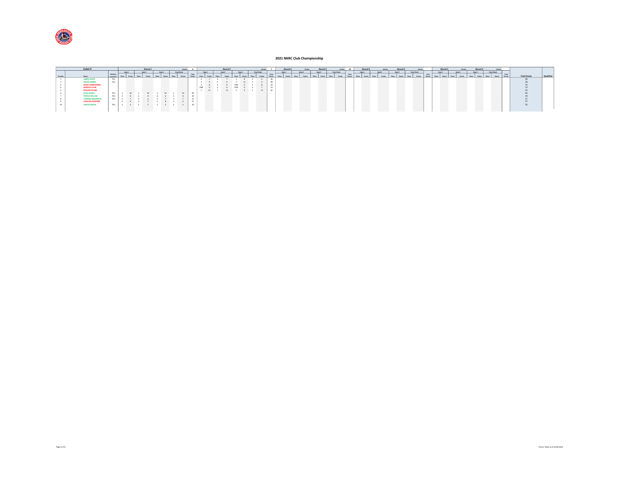

| Cadet 9                |                           |  | Round 1 |        |                          | Entries |       |     |      |        | Round 2 |            |              | Catcher | Round 3 | <b>Entries</b> |        | Round 3 |                    | Entries 10 | Round 4 |  | Round 4           | Entries      |         |        | Round 5 | <b>Georges</b> | Round 5            | Entries       |                   |                     |                 |
|------------------------|---------------------------|--|---------|--------|--------------------------|---------|-------|-----|------|--------|---------|------------|--------------|---------|---------|----------------|--------|---------|--------------------|------------|---------|--|-------------------|--------------|---------|--------|---------|----------------|--------------------|---------------|-------------------|---------------------|-----------------|
|                        |                           |  |         | Heat 2 | <b>Final Finish</b>      |         |       |     |      | Heat 2 |         |            | Final Finish |         | Heat 1  | Heat 2         | Heat 3 |         | <b>Roal Finish</b> |            | Heat 1  |  | Ment <sub>2</sub> | Final Finish |         | Heat 1 |         | Heat 2         | Heat 2             | Final Finish  |                   |                     |                 |
| Name <sub>1</sub>      | Member<br>from Rd 1 Place |  |         |        |                          |         | Total |     |      |        |         |            |              | Total   |         |                |        |         |                    | Total      |         |  |                   |              | Total D |        |         |                | Place Points Place | Points Points | Teta <sup>7</sup> | <b>Total Points</b> | <b>Qualifie</b> |
| <b>JAMES GUEST</b>     | YES                       |  |         |        |                          |         |       |     |      |        |         |            |              |         |         |                |        |         |                    |            |         |  |                   |              |         |        |         |                |                    |               |                   |                     |                 |
| <b>JACOB HARRIS</b>    | YES.                      |  |         |        |                          |         |       |     |      |        |         |            |              |         |         |                |        |         |                    |            |         |  |                   |              |         |        |         |                |                    |               |                   |                     |                 |
| NOAH ZAMPROGNO         |                           |  |         |        |                          |         |       |     |      |        |         |            |              |         |         |                |        |         |                    |            |         |  |                   |              |         |        |         |                |                    |               |                   |                     |                 |
| <b>MARCUS CULBI</b>    |                           |  |         |        |                          |         |       | DNF |      |        |         | DNF        |              |         |         |                |        |         |                    |            |         |  |                   |              |         |        |         |                |                    |               |                   |                     |                 |
| <b>KEEGAN YEUNG</b>    |                           |  |         |        |                          |         |       |     | 1111 |        |         | 1 11 2 9 1 | 11           |         |         |                |        |         |                    |            |         |  |                   |              |         |        |         |                |                    |               |                   |                     |                 |
| <b>KODA SINGH</b>      | <b>VEC</b>                |  |         |        |                          |         |       |     |      |        |         |            |              |         |         |                |        |         |                    |            |         |  |                   |              |         |        |         |                |                    |               |                   |                     |                 |
| <b>PORTIA ROLLAN</b>   |                           |  |         |        |                          |         |       |     |      |        |         |            |              |         |         |                |        |         |                    |            |         |  |                   |              |         |        |         |                |                    |               |                   |                     |                 |
| <b>IOMAS ANDERSO!</b>  |                           |  |         |        |                          |         |       |     |      |        |         |            |              |         |         |                |        |         |                    |            |         |  |                   |              |         |        |         |                |                    |               |                   |                     |                 |
| <b>LACHLAN DEBORRE</b> |                           |  |         |        |                          |         |       |     |      |        |         |            |              |         |         |                |        |         |                    |            |         |  |                   |              |         |        |         |                |                    |               |                   |                     |                 |
| <b>TRAVIS HISLOP</b>   | YES                       |  | $\sim$  |        | <b>Contract Contract</b> |         |       |     |      |        |         |            |              |         |         |                |        |         |                    |            |         |  |                   |              |         |        |         |                |                    |               |                   |                     |                 |
|                        |                           |  |         |        |                          |         |       |     |      |        |         |            |              |         |         |                |        |         |                    |            |         |  |                   |              |         |        |         |                |                    |               |                   |                     |                 |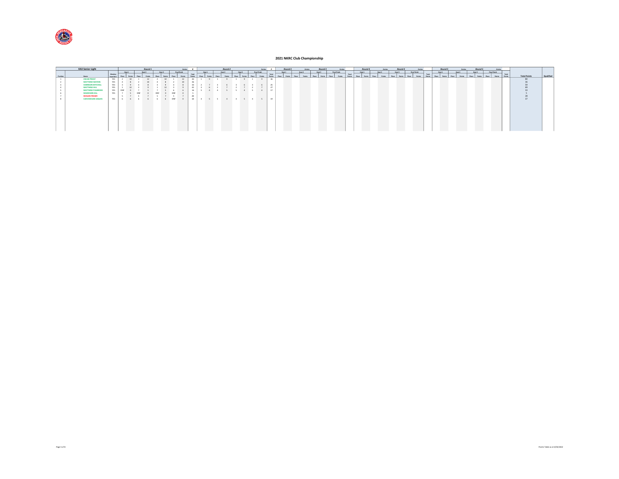

|          | KA3 Senior Light         |                     |            |        | Round 1   |        |                     | <b>Contries</b> |       |        | Round 2 |                       | <b>Catcher</b> |       | Round 3 |        |        | Round <sub>3</sub> |                    |       | Round 4 |        |        |             | Entries | Round 5 |        | Round 5 |              | Entries |                     |           |
|----------|--------------------------|---------------------|------------|--------|-----------|--------|---------------------|-----------------|-------|--------|---------|-----------------------|----------------|-------|---------|--------|--------|--------------------|--------------------|-------|---------|--------|--------|-------------|---------|---------|--------|---------|--------------|---------|---------------------|-----------|
|          |                          |                     |            | Heat 1 | Heat 2    | Heat 3 | Final Real Property |                 |       | Heat 1 | Heat 2  | H <sub>ext1</sub>     | Final Finish   |       | Heat 1  | Heat 2 | Heat 3 |                    | <b>Real Fields</b> |       | Heat 1  | Heat 2 | Heat 2 | Final Rolph |         | Heat 1  | Heat 2 | Heat 3  | Final Finish |         |                     |           |
| Position | Name                     | Member<br>from Rd 1 |            |        |           |        |                     |                 | Total |        |         |                       |                | Total |         |        |        |                    |                    | Total |         |        |        |             | Total   |         |        |         |              | Total   | <b>Total Points</b> | Qualified |
|          | <b>OSCAR PRIEST</b>      |                     | YES        |        |           |        |                     | 12              |       |        |         |                       | 9              | 36    |         |        |        |                    |                    |       |         |        |        |             |         |         |        |         |              |         | 80                  |           |
|          | <b>MATTHEW WATERS</b>    |                     | <b>YES</b> |        |           |        |                     |                 |       |        |         |                       |                |       |         |        |        |                    |                    |       |         |        |        |             |         |         |        |         |              |         |                     |           |
|          | <b>HARRISON MITCHELL</b> |                     | YES        |        |           |        |                     |                 |       |        |         |                       |                |       |         |        |        |                    |                    |       |         |        |        |             |         |         |        |         |              |         |                     |           |
|          | <b>MATTHEW HILL</b>      |                     | YES        |        |           |        |                     |                 |       |        |         |                       |                |       |         |        |        |                    |                    |       |         |        |        |             |         |         |        |         |              |         |                     |           |
|          | <b>MATTHEW PULBROOK</b>  |                     |            |        |           |        |                     |                 |       |        |         |                       |                | 17    |         |        |        |                    |                    |       |         |        |        |             |         |         |        |         |              |         |                     |           |
|          | <b>MADDISON HILL</b>     |                     | YES        |        |           |        |                     |                 |       |        |         |                       |                |       |         |        |        |                    |                    |       |         |        |        |             |         |         |        |         |              |         |                     |           |
|          | <b>KEEGAN FRASER</b>     |                     |            |        |           |        |                     |                 |       |        |         |                       |                |       |         |        |        |                    |                    |       |         |        |        |             |         |         |        |         |              |         |                     |           |
|          | CAIN KEEGAN-JAQUES       |                     | YES        |        | 6 6 6 DNF |        |                     | 0 <sup>1</sup>  |       |        |         | 18 4 5 5 4 4 5 4 5 19 |                |       |         |        |        |                    |                    |       |         |        |        |             |         |         |        |         |              |         |                     |           |
|          |                          |                     |            |        |           |        |                     |                 |       |        |         |                       |                |       |         |        |        |                    |                    |       |         |        |        |             |         |         |        |         |              |         |                     |           |
|          |                          |                     |            |        |           |        |                     |                 |       |        |         |                       |                |       |         |        |        |                    |                    |       |         |        |        |             |         |         |        |         |              |         |                     |           |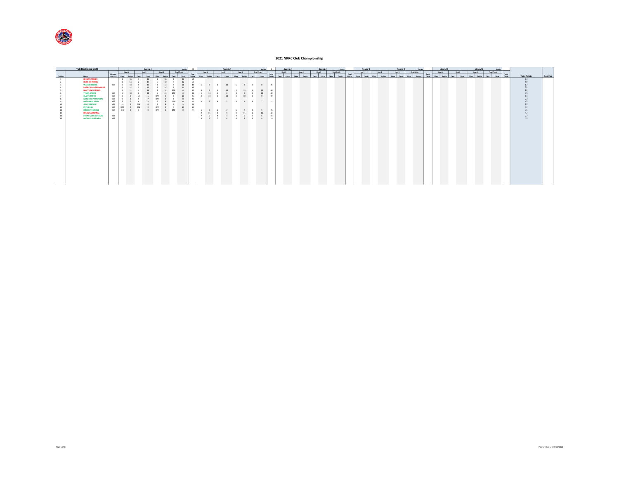

|          | <b>TaG Restricted Light</b>                 |                                  |              |          | Round 1 |                 |                     |          | Entries 12      |                |                 | Round 2                |    |                           |                     | Entries 9 |                 |              | Round 3 |        |       | Round 3 | <b>George</b>      |                 |       | Round 4 |       |        |       | Round 4 |                 |                 | Round 5      |       |        |        | Round 5 |                 | <b>Cotrier</b>         |                     |           |
|----------|---------------------------------------------|----------------------------------|--------------|----------|---------|-----------------|---------------------|----------|-----------------|----------------|-----------------|------------------------|----|---------------------------|---------------------|-----------|-----------------|--------------|---------|--------|-------|---------|--------------------|-----------------|-------|---------|-------|--------|-------|---------|-----------------|-----------------|--------------|-------|--------|--------|---------|-----------------|------------------------|---------------------|-----------|
|          |                                             |                                  | Heat 1       |          | Heat 2  |                 | Heat 3 Final Finleh |          |                 |                | Heat 1          | Heat 2                 |    | Heat 3 Final Final Finals |                     |           |                 | Heat 1       |         | Heat 2 |       |         | Heat 3 Rhal Finish |                 |       | Heat 1  |       | Heat 2 |       | Heat 3  | Final Finish    |                 | Heat 1       |       | Heat 2 | Heat 2 |         | Final Finish    |                        |                     |           |
| Position | Name                                        | Member<br>from Rd 1 Place Points |              |          | Place   | Place<br>Points | Place               | Points   | Total<br>Points |                | Place Points    | Points<br>Place        |    | Place                     | Points Place Points |           | Total<br>Points | Place Points | Place   | Points | Place | Points  | Points<br>Place    | Total<br>Points | Place | Points  | Place | Points | Place | Points  | Points<br>Place | Total<br>Points | Place Points | Place | Points | Place  | Points  | Points<br>Place | Total<br><b>Balaty</b> | <b>Total Points</b> | Qualified |
|          | <b>KEEGAN FRASER</b>                        |                                  | 1 16         |          | 16      | 16              |                     | $11$ 16  | 64              |                |                 |                        |    |                           |                     |           |                 |              |         |        |       |         |                    |                 |       |         |       |        |       |         |                 |                 |              |       |        |        |         |                 |                        | 64                  |           |
|          | <b><i>RYAN JOHNSTON</i></b>                 |                                  |              |          |         |                 |                     | 12       | 50              |                |                 |                        |    |                           |                     |           |                 |              |         |        |       |         |                    |                 |       |         |       |        |       |         |                 |                 |              |       |        |        |         |                 |                        | 50                  |           |
|          | <b>WAYNE ROGERS</b>                         | YES 3                            |              |          |         |                 |                     |          |                 |                |                 | 48 5 8 2 11 5 8 5 8 35 |    |                           |                     |           |                 |              |         |        |       |         |                    |                 |       |         |       |        |       |         |                 |                 |              |       |        |        |         |                 |                        |                     |           |
|          | <b>PATRICK HEUZENROEDER</b>                 |                                  | $\mathbf{A}$ |          |         |                 |                     |          | 53              |                |                 |                        |    |                           |                     |           |                 |              |         |        |       |         |                    |                 |       |         |       |        |       |         |                 |                 |              |       |        |        |         |                 |                        |                     |           |
|          | <b>MATTHEW O'BRIEN</b>                      |                                  |              | 11       |         |                 |                     |          | 35              | $\overline{a}$ |                 |                        |    | 13 1 13 1 13              |                     |           | 48              |              |         |        |       |         |                    |                 |       |         |       |        |       |         |                 |                 |              |       |        |        |         |                 |                        |                     |           |
|          | <b>TYSON ARDEN</b>                          | YES                              |              |          |         |                 |                     |          | 31              |                | 13              |                        | 8  | $4 \t9$                   |                     | 10        | 40              |              |         |        |       |         |                    |                 |       |         |       |        |       |         |                 |                 |              |       |        |        |         |                 |                        |                     |           |
|          | <b>CLAYTE SMITH</b>                         | YES                              |              |          |         |                 |                     |          | 25              | $\sim$         | 10 <sub>1</sub> |                        | 10 | $3 \t3 \t4 \t9$           |                     |           | 39              |              |         |        |       |         |                    |                 |       |         |       |        |       |         |                 |                 |              |       |        |        |         |                 |                        |                     |           |
|          | <b>MITCHELL PATTERSON</b><br>NATHANIEL VEGH | YES                              |              |          |         |                 |                     |          | 23<br>24        |                |                 | 8 5 8 5 9 4 6 7 21     |    |                           |                     |           |                 |              |         |        |       |         |                    |                 |       |         |       |        |       |         |                 |                 |              |       |        |        |         |                 |                        |                     |           |
|          | JEFF PASSFIELD                              | <b>YES</b>                       |              |          |         |                 |                     |          |                 |                |                 |                        |    |                           |                     |           |                 |              |         |        |       |         |                    |                 |       |         |       |        |       |         |                 |                 |              |       |        |        |         |                 |                        |                     |           |
|          | <b>PETER HILL</b>                           | YES<br>YES                       | DNF          |          | DNF     | DNF             |                     | 13       | 23<br>13        |                |                 |                        |    |                           |                     |           |                 |              |         |        |       |         |                    |                 |       |         |       |        |       |         |                 |                 |              |       |        |        |         |                 |                        |                     |           |
|          | <b>DREW ETHERIDGE</b>                       | YES DQ                           |              | $0 \t 7$ |         |                 | 9 DNF 0 DNF         | $\sim$ 0 | $9-1$           |                |                 | 6 7 6 7 6 7 8 5 26     |    |                           |                     |           |                 |              |         |        |       |         |                    |                 |       |         |       |        |       |         |                 |                 |              |       |        |        |         |                 |                        |                     |           |
|          | <b>BRIAN TABBERNAL</b>                      |                                  |              |          |         |                 |                     |          |                 |                | 2 11            | $-4$                   | 9  |                           |                     | 11        | $-42$           |              |         |        |       |         |                    |                 |       |         |       |        |       |         |                 |                 |              |       |        |        |         |                 |                        |                     |           |
|          | <b>FELIPE SAIEG CATALAN</b>                 | YES                              |              |          |         |                 |                     |          |                 |                |                 | 7 6 9 4 7 6 7 6        |    |                           |                     |           | 22              |              |         |        |       |         |                    |                 |       |         |       |        |       |         |                 |                 |              |       |        |        |         |                 |                        |                     |           |
|          | MICHEAL SHERWELL                            | YES                              |              |          |         |                 |                     |          |                 |                |                 |                        |    |                           |                     |           | 19              |              |         |        |       |         |                    |                 |       |         |       |        |       |         |                 |                 |              |       |        |        |         |                 |                        |                     |           |
|          |                                             |                                  |              |          |         |                 |                     |          |                 |                |                 |                        |    |                           |                     |           |                 |              |         |        |       |         |                    |                 |       |         |       |        |       |         |                 |                 |              |       |        |        |         |                 |                        |                     |           |
|          |                                             |                                  |              |          |         |                 |                     |          |                 |                |                 |                        |    |                           |                     |           |                 |              |         |        |       |         |                    |                 |       |         |       |        |       |         |                 |                 |              |       |        |        |         |                 |                        |                     |           |
|          |                                             |                                  |              |          |         |                 |                     |          |                 |                |                 |                        |    |                           |                     |           |                 |              |         |        |       |         |                    |                 |       |         |       |        |       |         |                 |                 |              |       |        |        |         |                 |                        |                     |           |
|          |                                             |                                  |              |          |         |                 |                     |          |                 |                |                 |                        |    |                           |                     |           |                 |              |         |        |       |         |                    |                 |       |         |       |        |       |         |                 |                 |              |       |        |        |         |                 |                        |                     |           |
|          |                                             |                                  |              |          |         |                 |                     |          |                 |                |                 |                        |    |                           |                     |           |                 |              |         |        |       |         |                    |                 |       |         |       |        |       |         |                 |                 |              |       |        |        |         |                 |                        |                     |           |
|          |                                             |                                  |              |          |         |                 |                     |          |                 |                |                 |                        |    |                           |                     |           |                 |              |         |        |       |         |                    |                 |       |         |       |        |       |         |                 |                 |              |       |        |        |         |                 |                        |                     |           |
|          |                                             |                                  |              |          |         |                 |                     |          |                 |                |                 |                        |    |                           |                     |           |                 |              |         |        |       |         |                    |                 |       |         |       |        |       |         |                 |                 |              |       |        |        |         |                 |                        |                     |           |
|          |                                             |                                  |              |          |         |                 |                     |          |                 |                |                 |                        |    |                           |                     |           |                 |              |         |        |       |         |                    |                 |       |         |       |        |       |         |                 |                 |              |       |        |        |         |                 |                        |                     |           |
|          |                                             |                                  |              |          |         |                 |                     |          |                 |                |                 |                        |    |                           |                     |           |                 |              |         |        |       |         |                    |                 |       |         |       |        |       |         |                 |                 |              |       |        |        |         |                 |                        |                     |           |
|          |                                             |                                  |              |          |         |                 |                     |          |                 |                |                 |                        |    |                           |                     |           |                 |              |         |        |       |         |                    |                 |       |         |       |        |       |         |                 |                 |              |       |        |        |         |                 |                        |                     |           |
|          |                                             |                                  |              |          |         |                 |                     |          |                 |                |                 |                        |    |                           |                     |           |                 |              |         |        |       |         |                    |                 |       |         |       |        |       |         |                 |                 |              |       |        |        |         |                 |                        |                     |           |
|          |                                             |                                  |              |          |         |                 |                     |          |                 |                |                 |                        |    |                           |                     |           |                 |              |         |        |       |         |                    |                 |       |         |       |        |       |         |                 |                 |              |       |        |        |         |                 |                        |                     |           |
|          |                                             |                                  |              |          |         |                 |                     |          |                 |                |                 |                        |    |                           |                     |           |                 |              |         |        |       |         |                    |                 |       |         |       |        |       |         |                 |                 |              |       |        |        |         |                 |                        |                     |           |
|          |                                             |                                  |              |          |         |                 |                     |          |                 |                |                 |                        |    |                           |                     |           |                 |              |         |        |       |         |                    |                 |       |         |       |        |       |         |                 |                 |              |       |        |        |         |                 |                        |                     |           |
|          |                                             |                                  |              |          |         |                 |                     |          |                 |                |                 |                        |    |                           |                     |           |                 |              |         |        |       |         |                    |                 |       |         |       |        |       |         |                 |                 |              |       |        |        |         |                 |                        |                     |           |
|          |                                             |                                  |              |          |         |                 |                     |          |                 |                |                 |                        |    |                           |                     |           |                 |              |         |        |       |         |                    |                 |       |         |       |        |       |         |                 |                 |              |       |        |        |         |                 |                        |                     |           |
|          |                                             |                                  |              |          |         |                 |                     |          |                 |                |                 |                        |    |                           |                     |           |                 |              |         |        |       |         |                    |                 |       |         |       |        |       |         |                 |                 |              |       |        |        |         |                 |                        |                     |           |
|          |                                             |                                  |              |          |         |                 |                     |          |                 |                |                 |                        |    |                           |                     |           |                 |              |         |        |       |         |                    |                 |       |         |       |        |       |         |                 |                 |              |       |        |        |         |                 |                        |                     |           |
|          |                                             |                                  |              |          |         |                 |                     |          |                 |                |                 |                        |    |                           |                     |           |                 |              |         |        |       |         |                    |                 |       |         |       |        |       |         |                 |                 |              |       |        |        |         |                 |                        |                     |           |
|          |                                             |                                  |              |          |         |                 |                     |          |                 |                |                 |                        |    |                           |                     |           |                 |              |         |        |       |         |                    |                 |       |         |       |        |       |         |                 |                 |              |       |        |        |         |                 |                        |                     |           |
|          |                                             |                                  |              |          |         |                 |                     |          |                 |                |                 |                        |    |                           |                     |           |                 |              |         |        |       |         |                    |                 |       |         |       |        |       |         |                 |                 |              |       |        |        |         |                 |                        |                     |           |
|          |                                             |                                  |              |          |         |                 |                     |          |                 |                |                 |                        |    |                           |                     |           |                 |              |         |        |       |         |                    |                 |       |         |       |        |       |         |                 |                 |              |       |        |        |         |                 |                        |                     |           |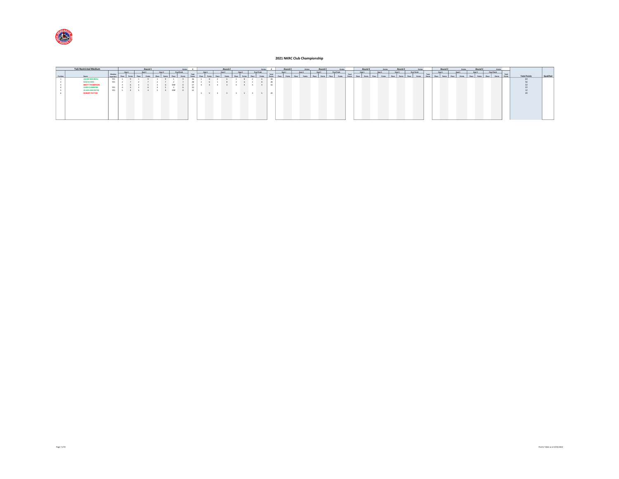

|          | <b>TaG Restricted Medium</b> |                           |        | Round 1 |          |              | <b>Contries</b>     |           |          |                     |        | Round 2 |                             |              | Entries |    | Round 3 |                | <b>Catches</b> |              | Round 3 | <b>George</b>      |       | Round 4 | Entries | Round 4      |             | Entries      |       |        | Round 5 | <b>George</b> |       | Round 5 |              | Cotrier |       |                     |           |
|----------|------------------------------|---------------------------|--------|---------|----------|--------------|---------------------|-----------|----------|---------------------|--------|---------|-----------------------------|--------------|---------|----|---------|----------------|----------------|--------------|---------|--------------------|-------|---------|---------|--------------|-------------|--------------|-------|--------|---------|---------------|-------|---------|--------------|---------|-------|---------------------|-----------|
|          |                              |                           | Heat 1 | Heat 2  | Heat 3   |              | <b>Final Finish</b> |           | Henry S. |                     | Heat 2 |         | Heat 2                      | Final Finish |         |    | Heat 1  |                | Heat 2         |              | Heat 3  | <b>Real Fields</b> |       | Heat 1  | March 2 | Mont 3       |             | Final Finish |       | Heat 1 |         | Heat 2        |       | Heat 2  | Final Finish |         |       |                     |           |
| Position | Name                         | Member<br>from Rd 1 Place |        |         |          | <b>Disco</b> |                     | Total     |          |                     |        |         |                             |              | Total   |    |         | <b>Gilbona</b> |                | <b>Olara</b> |         |                    | Total |         |         | <b>Disco</b> | <b>Disc</b> |              | Total | Place  | Place   | Points        | Place |         | Place        |         | Total | <b>Total Points</b> | Qualified |
|          | <b>JACOB MACNEILL</b>        | YES                       |        |         |          |              |                     |           |          |                     |        |         |                             |              |         | 28 |         |                |                |              |         |                    |       |         |         |              |             |              |       |        |         |               |       |         |              |         |       | $-64$               |           |
|          | <b>MACK FORD</b>             | YES                       |        |         |          |              |                     |           |          |                     |        |         |                             |              | 28      |    |         |                |                |              |         |                    |       |         |         |              |             |              |       |        |         |               |       |         |              |         |       |                     |           |
|          | <b>BRETT THOMPSON</b>        |                           |        |         |          |              |                     |           |          |                     |        |         |                             |              |         | 16 |         |                |                |              |         |                    |       |         |         |              |             |              |       |        |         |               |       |         |              |         |       |                     |           |
|          | CHRIS CUMMINS                | YES.                      |        |         |          |              |                     |           |          |                     |        |         |                             |              |         |    |         |                |                |              |         |                    |       |         |         |              |             |              |       |        |         |               |       |         |              |         |       |                     |           |
|          | ALLEN LANCASTER              | <b>YES</b>                |        |         | $\sim$ 4 | DNF          |                     | <b>12</b> |          |                     |        |         |                             |              |         |    |         |                |                |              |         |                    |       |         |         |              |             |              |       |        |         |               |       |         |              |         |       |                     |           |
|          | ROBERT POTTER                |                           |        |         |          |              |                     |           |          | $3 \quad 5 \quad 3$ |        |         | $5 \quad 3 \quad 5 \quad 3$ | $\sim$       |         | 20 |         |                |                |              |         |                    |       |         |         |              |             |              |       |        |         |               |       |         |              |         |       |                     |           |
|          |                              |                           |        |         |          |              |                     |           |          |                     |        |         |                             |              |         |    |         |                |                |              |         |                    |       |         |         |              |             |              |       |        |         |               |       |         |              |         |       |                     |           |
|          |                              |                           |        |         |          |              |                     |           |          |                     |        |         |                             |              |         |    |         |                |                |              |         |                    |       |         |         |              |             |              |       |        |         |               |       |         |              |         |       |                     |           |
|          |                              |                           |        |         |          |              |                     |           |          |                     |        |         |                             |              |         |    |         |                |                |              |         |                    |       |         |         |              |             |              |       |        |         |               |       |         |              |         |       |                     |           |
|          |                              |                           |        |         |          |              |                     |           |          |                     |        |         |                             |              |         |    |         |                |                |              |         |                    |       |         |         |              |             |              |       |        |         |               |       |         |              |         |       |                     |           |
|          |                              |                           |        |         |          |              |                     |           |          |                     |        |         |                             |              |         |    |         |                |                |              |         |                    |       |         |         |              |             |              |       |        |         |               |       |         |              |         |       |                     |           |
|          |                              |                           |        |         |          |              |                     |           |          |                     |        |         |                             |              |         |    |         |                |                |              |         |                    |       |         |         |              |             |              |       |        |         |               |       |         |              |         |       |                     |           |
|          |                              |                           |        |         |          |              |                     |           |          |                     |        |         |                             |              |         |    |         |                |                |              |         |                    |       |         |         |              |             |              |       |        |         |               |       |         |              |         |       |                     |           |
|          |                              |                           |        |         |          |              |                     |           |          |                     |        |         |                             |              |         |    |         |                |                |              |         |                    |       |         |         |              |             |              |       |        |         |               |       |         |              |         |       |                     |           |
|          |                              |                           |        |         |          |              |                     |           |          |                     |        |         |                             |              |         |    |         |                |                |              |         |                    |       |         |         |              |             |              |       |        |         |               |       |         |              |         |       |                     |           |